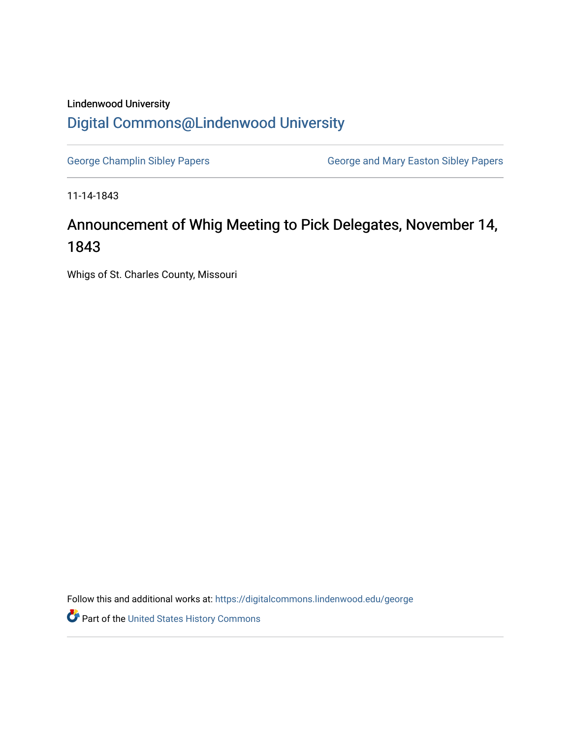## Lindenwood University [Digital Commons@Lindenwood University](https://digitalcommons.lindenwood.edu/)

[George Champlin Sibley Papers](https://digitalcommons.lindenwood.edu/george) **George and Mary Easton Sibley Papers** George and Mary Easton Sibley Papers

11-14-1843

## Announcement of Whig Meeting to Pick Delegates, November 14, 1843

Whigs of St. Charles County, Missouri

Follow this and additional works at: [https://digitalcommons.lindenwood.edu/george](https://digitalcommons.lindenwood.edu/george?utm_source=digitalcommons.lindenwood.edu%2Fgeorge%2F317&utm_medium=PDF&utm_campaign=PDFCoverPages)

Part of the [United States History Commons](http://network.bepress.com/hgg/discipline/495?utm_source=digitalcommons.lindenwood.edu%2Fgeorge%2F317&utm_medium=PDF&utm_campaign=PDFCoverPages)